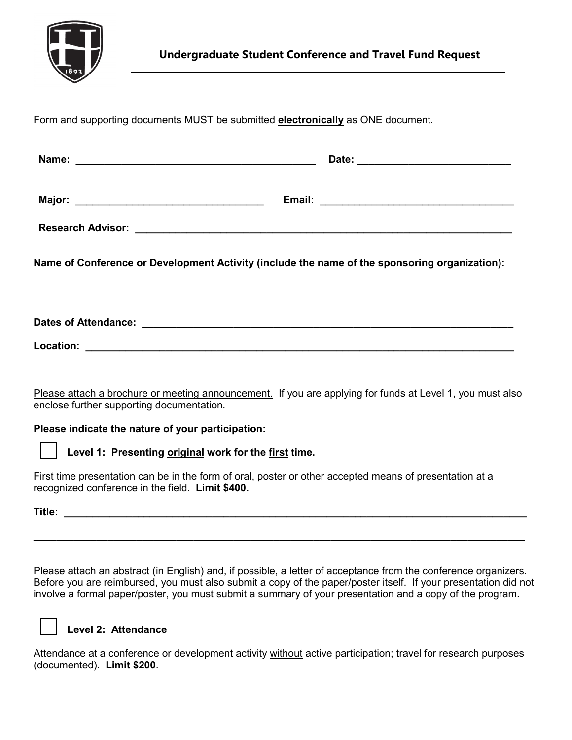

Form and supporting documents MUST be submitted **electronically** as ONE document.

| Name of Conference or Development Activity (include the name of the sponsoring organization): |  |  |  |
|-----------------------------------------------------------------------------------------------|--|--|--|
|                                                                                               |  |  |  |
|                                                                                               |  |  |  |

**Location: \_\_\_\_\_\_\_\_\_\_\_\_\_\_\_\_\_\_\_\_\_\_\_\_\_\_\_\_\_\_\_\_\_\_\_\_\_\_\_\_\_\_\_\_\_\_\_\_\_\_\_\_\_\_\_\_\_\_\_\_\_\_\_\_\_\_\_\_\_\_\_\_\_\_\_**

Please attach a brochure or meeting announcement. If you are applying for funds at Level 1, you must also enclose further supporting documentation.

**Please indicate the nature of your participation:**

**Level 1: Presenting original work for the first time.**

First time presentation can be in the form of oral, poster or other accepted means of presentation at a recognized conference in the field. **Limit \$400.**

**Title: \_\_\_\_\_\_\_\_\_\_\_\_\_\_\_\_\_\_\_\_\_\_\_\_\_\_\_\_\_\_\_\_\_\_\_\_\_\_\_\_\_\_\_\_\_\_\_\_\_\_\_\_\_\_\_\_\_\_\_\_\_\_\_\_\_\_\_\_\_\_\_\_\_\_\_\_\_\_\_\_\_**

Please attach an abstract (in English) and, if possible, a letter of acceptance from the conference organizers. Before you are reimbursed, you must also submit a copy of the paper/poster itself. If your presentation did not involve a formal paper/poster, you must submit a summary of your presentation and a copy of the program.

**\_\_\_\_\_\_\_\_\_\_\_\_\_\_\_\_\_\_\_\_\_\_\_\_\_\_\_\_\_\_\_\_\_\_\_\_\_\_\_\_\_\_\_\_\_\_\_\_\_\_\_\_\_\_\_\_\_\_\_\_\_\_\_\_\_\_\_\_\_\_\_\_\_\_\_\_\_\_\_\_\_\_\_\_\_\_**

## **Level 2: Attendance**

Attendance at a conference or development activity without active participation; travel for research purposes (documented). **Limit \$200**.